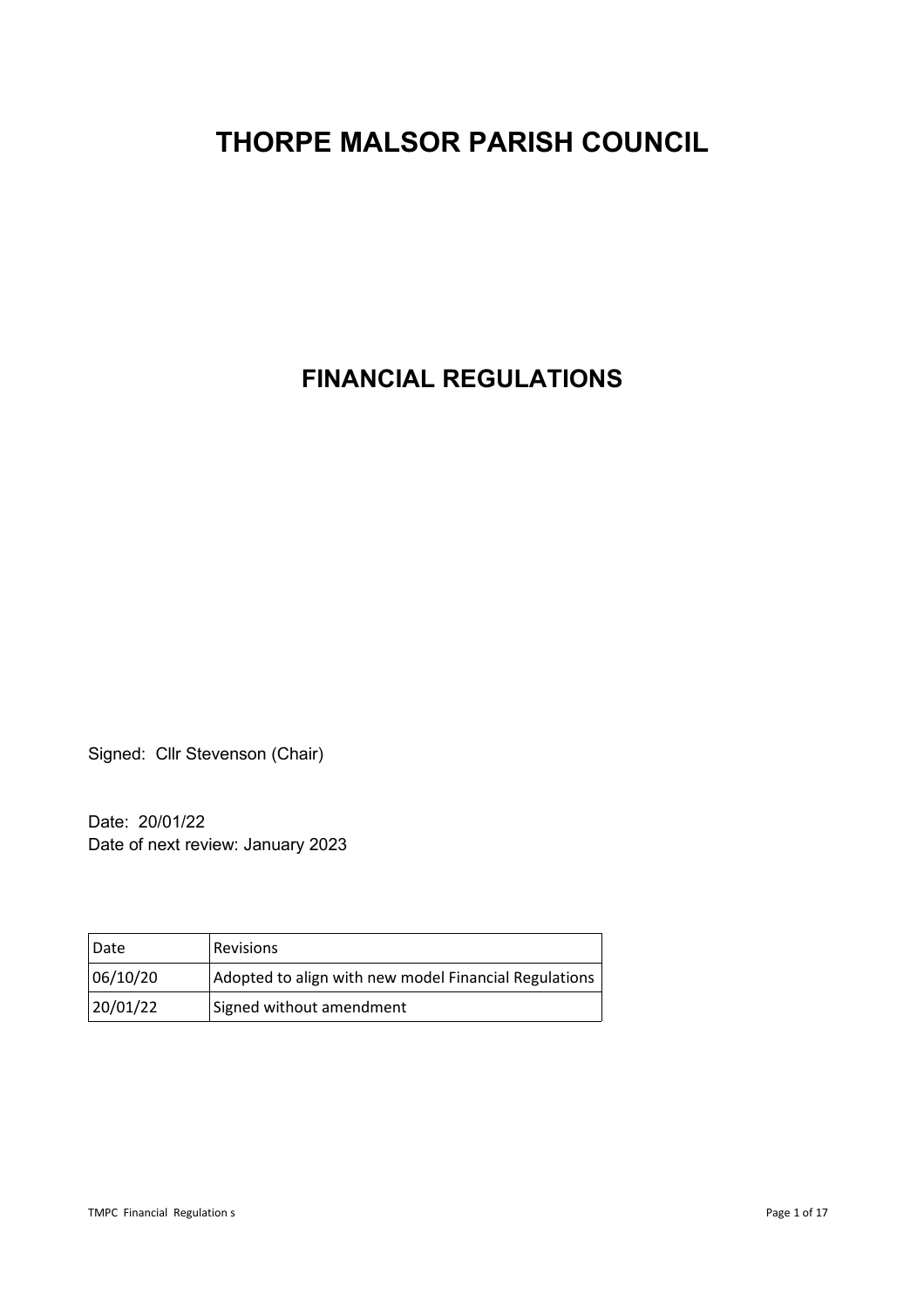# **THORPE MALSOR PARISH COUNCIL**

**FINANCIAL REGULATIONS**

Signed: Cllr Stevenson (Chair)

Date: 20/01/22 Date of next review: January 2023

| Date     | <b>Revisions</b>                                      |
|----------|-------------------------------------------------------|
| 06/10/20 | Adopted to align with new model Financial Regulations |
| 20/01/22 | Signed without amendment                              |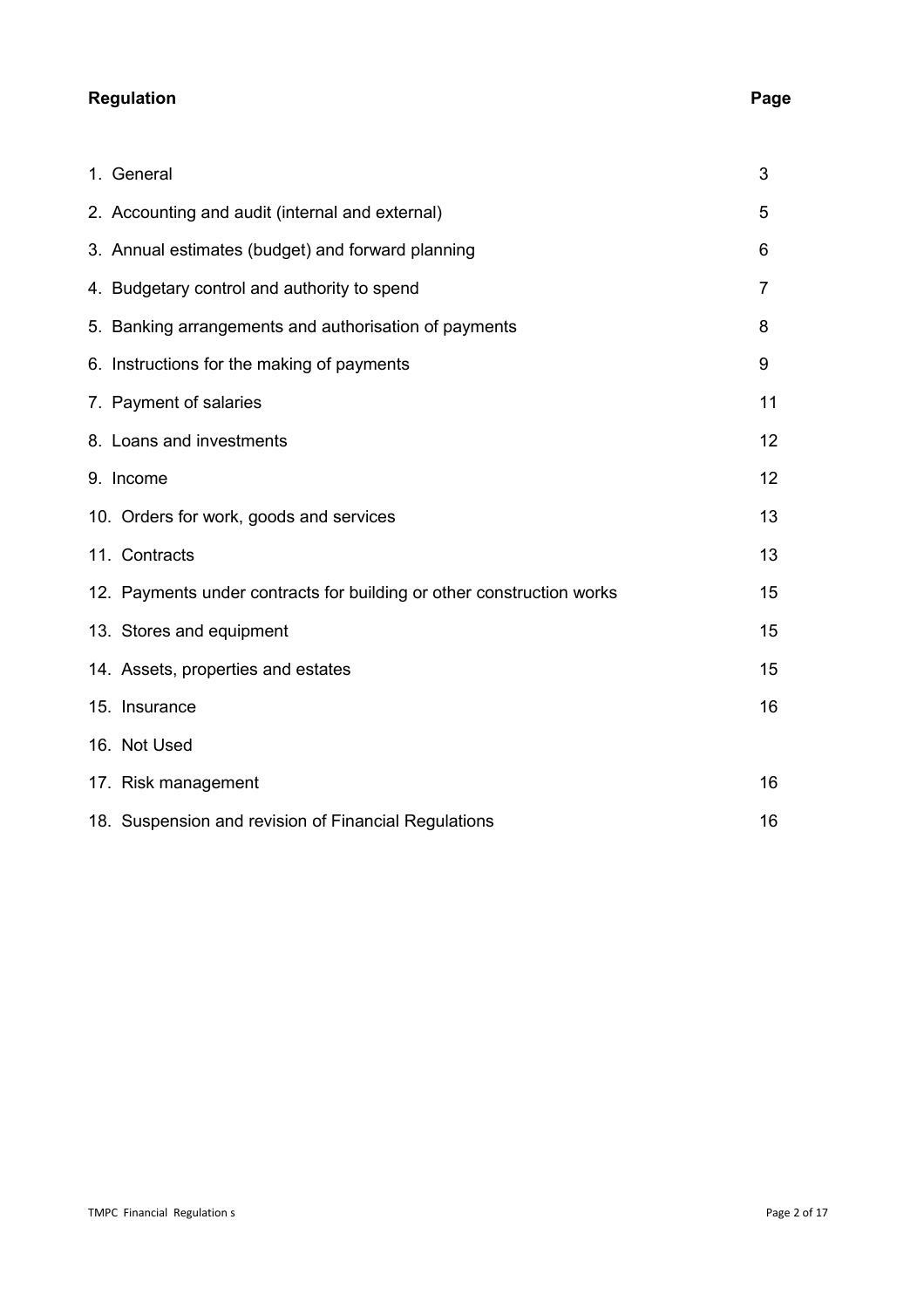# **Regulation Page**

| 1. General                                                            | 3              |
|-----------------------------------------------------------------------|----------------|
| 2. Accounting and audit (internal and external)                       | 5              |
| 3. Annual estimates (budget) and forward planning                     | 6              |
| 4. Budgetary control and authority to spend                           | $\overline{7}$ |
| 5. Banking arrangements and authorisation of payments                 | 8              |
| 6. Instructions for the making of payments                            | 9              |
| 7. Payment of salaries                                                | 11             |
| 8. Loans and investments                                              | 12             |
| 9. Income                                                             | 12             |
| 10. Orders for work, goods and services                               | 13             |
| 11. Contracts                                                         | 13             |
| 12. Payments under contracts for building or other construction works | 15             |
| 13. Stores and equipment                                              | 15             |
| 14. Assets, properties and estates                                    | 15             |
| 15. Insurance                                                         | 16             |
| 16. Not Used                                                          |                |
| 17. Risk management                                                   | 16             |
| 18. Suspension and revision of Financial Regulations                  | 16             |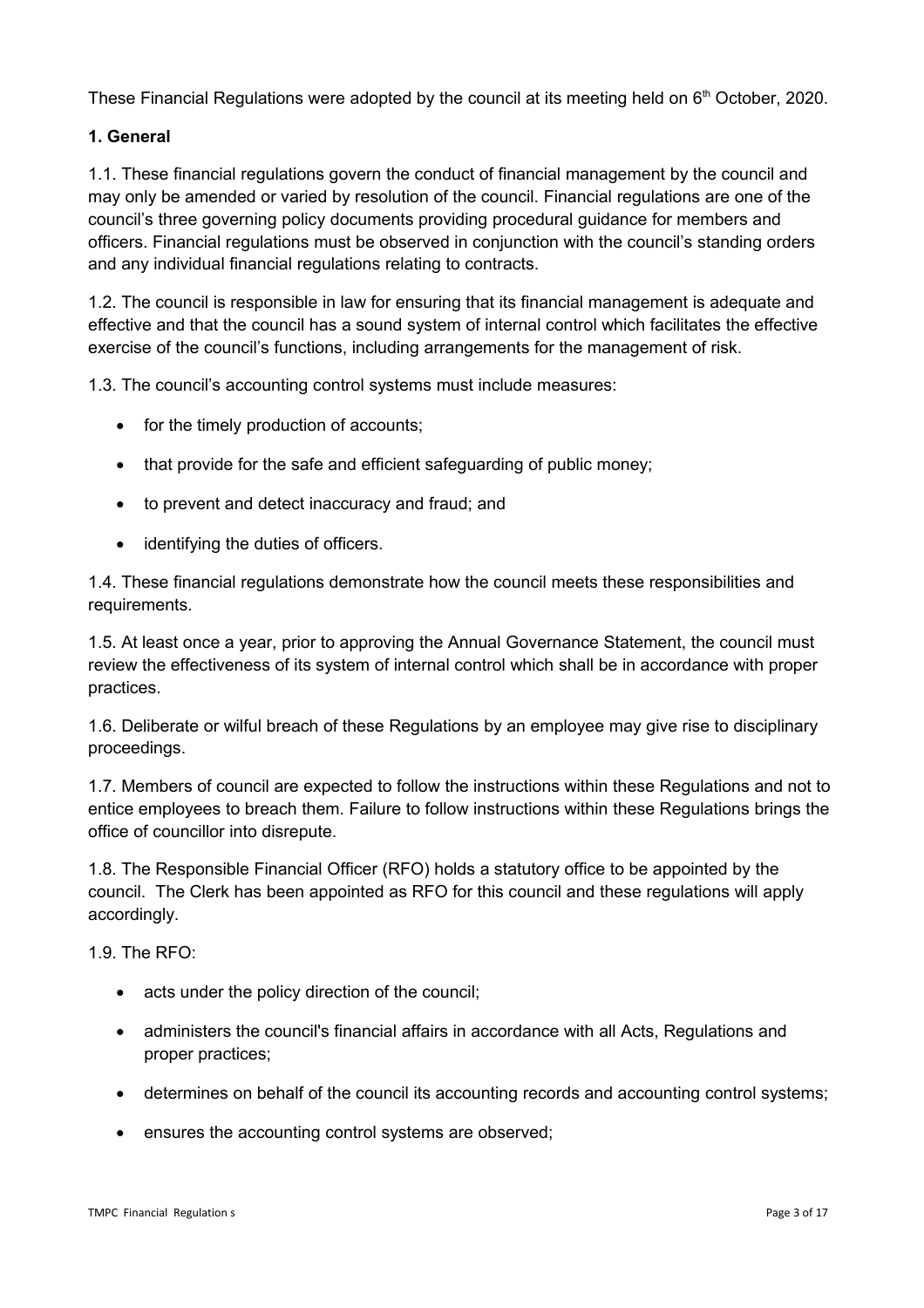These Financial Regulations were adopted by the council at its meeting held on  $6<sup>th</sup>$  October, 2020.

# **1. General**

1.1. These financial regulations govern the conduct of financial management by the council and may only be amended or varied by resolution of the council. Financial regulations are one of the council's three governing policy documents providing procedural guidance for members and officers. Financial regulations must be observed in conjunction with the council's standing orders and any individual financial regulations relating to contracts.

1.2. The council is responsible in law for ensuring that its financial management is adequate and effective and that the council has a sound system of internal control which facilitates the effective exercise of the council's functions, including arrangements for the management of risk.

1.3. The council's accounting control systems must include measures:

- for the timely production of accounts;
- that provide for the safe and efficient safeguarding of public money;
- to prevent and detect inaccuracy and fraud; and
- identifying the duties of officers.

1.4. These financial regulations demonstrate how the council meets these responsibilities and requirements.

1.5. At least once a year, prior to approving the Annual Governance Statement, the council must review the effectiveness of its system of internal control which shall be in accordance with proper practices.

1.6. Deliberate or wilful breach of these Regulations by an employee may give rise to disciplinary proceedings.

1.7. Members of council are expected to follow the instructions within these Regulations and not to entice employees to breach them. Failure to follow instructions within these Regulations brings the office of councillor into disrepute.

1.8. The Responsible Financial Officer (RFO) holds a statutory office to be appointed by the council. The Clerk has been appointed as RFO for this council and these regulations will apply accordingly.

1.9. The RFO:

- acts under the policy direction of the council;
- administers the council's financial affairs in accordance with all Acts, Regulations and proper practices;
- determines on behalf of the council its accounting records and accounting control systems;
- ensures the accounting control systems are observed;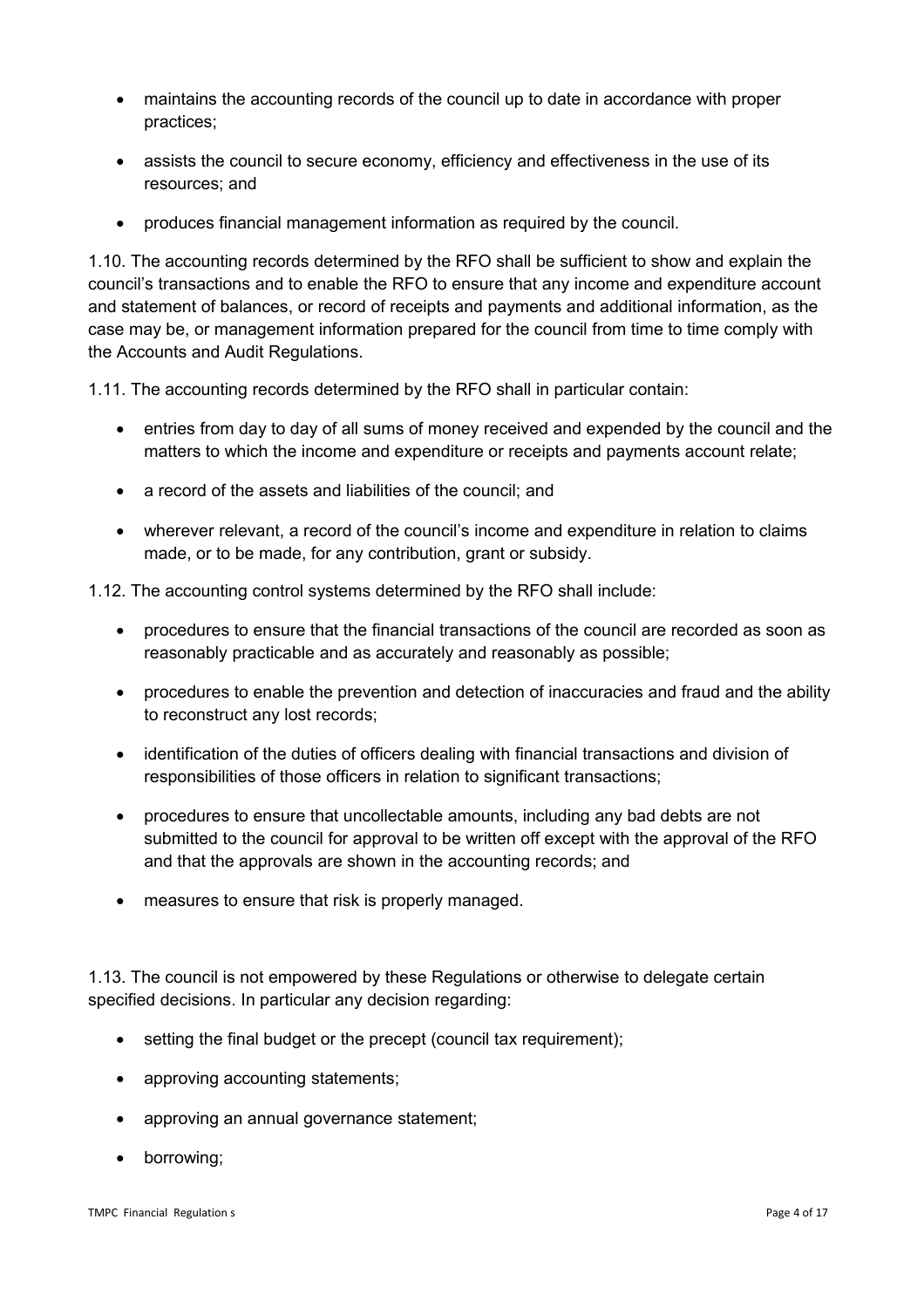- maintains the accounting records of the council up to date in accordance with proper practices;
- assists the council to secure economy, efficiency and effectiveness in the use of its resources; and
- produces financial management information as required by the council.

1.10. The accounting records determined by the RFO shall be sufficient to show and explain the council's transactions and to enable the RFO to ensure that any income and expenditure account and statement of balances, or record of receipts and payments and additional information, as the case may be, or management information prepared for the council from time to time comply with the Accounts and Audit Regulations.

1.11. The accounting records determined by the RFO shall in particular contain:

- entries from day to day of all sums of money received and expended by the council and the matters to which the income and expenditure or receipts and payments account relate;
- a record of the assets and liabilities of the council; and
- wherever relevant, a record of the council's income and expenditure in relation to claims made, or to be made, for any contribution, grant or subsidy.

1.12. The accounting control systems determined by the RFO shall include:

- procedures to ensure that the financial transactions of the council are recorded as soon as reasonably practicable and as accurately and reasonably as possible;
- procedures to enable the prevention and detection of inaccuracies and fraud and the ability to reconstruct any lost records;
- identification of the duties of officers dealing with financial transactions and division of responsibilities of those officers in relation to significant transactions;
- procedures to ensure that uncollectable amounts, including any bad debts are not submitted to the council for approval to be written off except with the approval of the RFO and that the approvals are shown in the accounting records; and
- measures to ensure that risk is properly managed.

1.13. The council is not empowered by these Regulations or otherwise to delegate certain specified decisions. In particular any decision regarding:

- setting the final budget or the precept (council tax requirement);
- approving accounting statements;
- approving an annual governance statement;
- borrowing;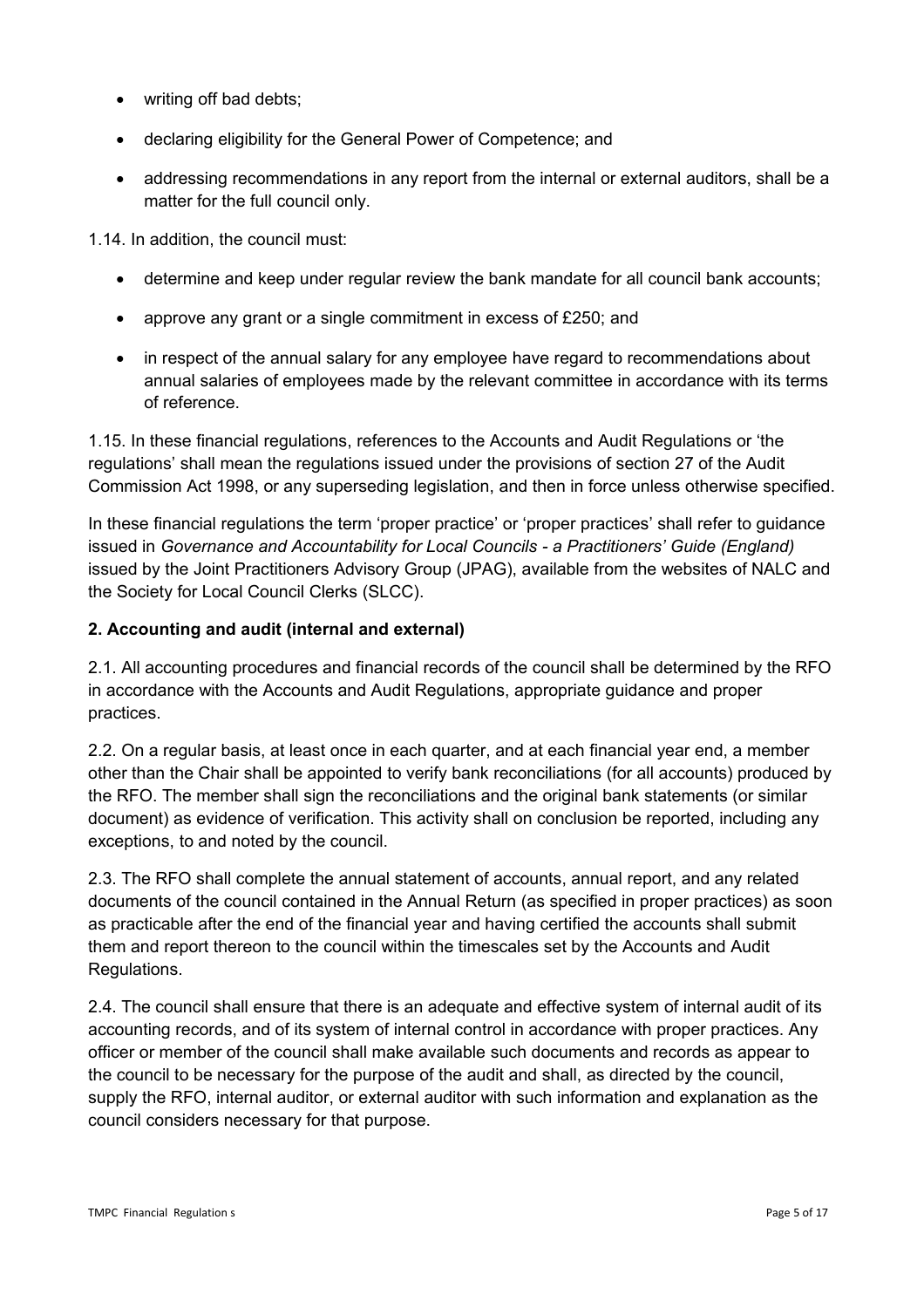- writing off bad debts:
- declaring eligibility for the General Power of Competence; and
- addressing recommendations in any report from the internal or external auditors, shall be a matter for the full council only.

1.14. In addition, the council must:

- determine and keep under regular review the bank mandate for all council bank accounts;
- approve any grant or a single commitment in excess of £250; and
- in respect of the annual salary for any employee have regard to recommendations about annual salaries of employees made by the relevant committee in accordance with its terms of reference.

1.15. In these financial regulations, references to the Accounts and Audit Regulations or 'the regulations' shall mean the regulations issued under the provisions of section 27 of the Audit Commission Act 1998, or any superseding legislation, and then in force unless otherwise specified.

In these financial regulations the term 'proper practice' or 'proper practices' shall refer to guidance issued in *Governance and Accountability for Local Councils - a Practitioners' Guide (England)* issued by the Joint Practitioners Advisory Group (JPAG), available from the websites of NALC and the Society for Local Council Clerks (SLCC).

#### **2. Accounting and audit (internal and external)**

2.1. All accounting procedures and financial records of the council shall be determined by the RFO in accordance with the Accounts and Audit Regulations, appropriate guidance and proper practices.

2.2. On a regular basis, at least once in each quarter, and at each financial year end, a member other than the Chair shall be appointed to verify bank reconciliations (for all accounts) produced by the RFO. The member shall sign the reconciliations and the original bank statements (or similar document) as evidence of verification. This activity shall on conclusion be reported, including any exceptions, to and noted by the council.

2.3. The RFO shall complete the annual statement of accounts, annual report, and any related documents of the council contained in the Annual Return (as specified in proper practices) as soon as practicable after the end of the financial year and having certified the accounts shall submit them and report thereon to the council within the timescales set by the Accounts and Audit Regulations.

2.4. The council shall ensure that there is an adequate and effective system of internal audit of its accounting records, and of its system of internal control in accordance with proper practices. Any officer or member of the council shall make available such documents and records as appear to the council to be necessary for the purpose of the audit and shall, as directed by the council, supply the RFO, internal auditor, or external auditor with such information and explanation as the council considers necessary for that purpose.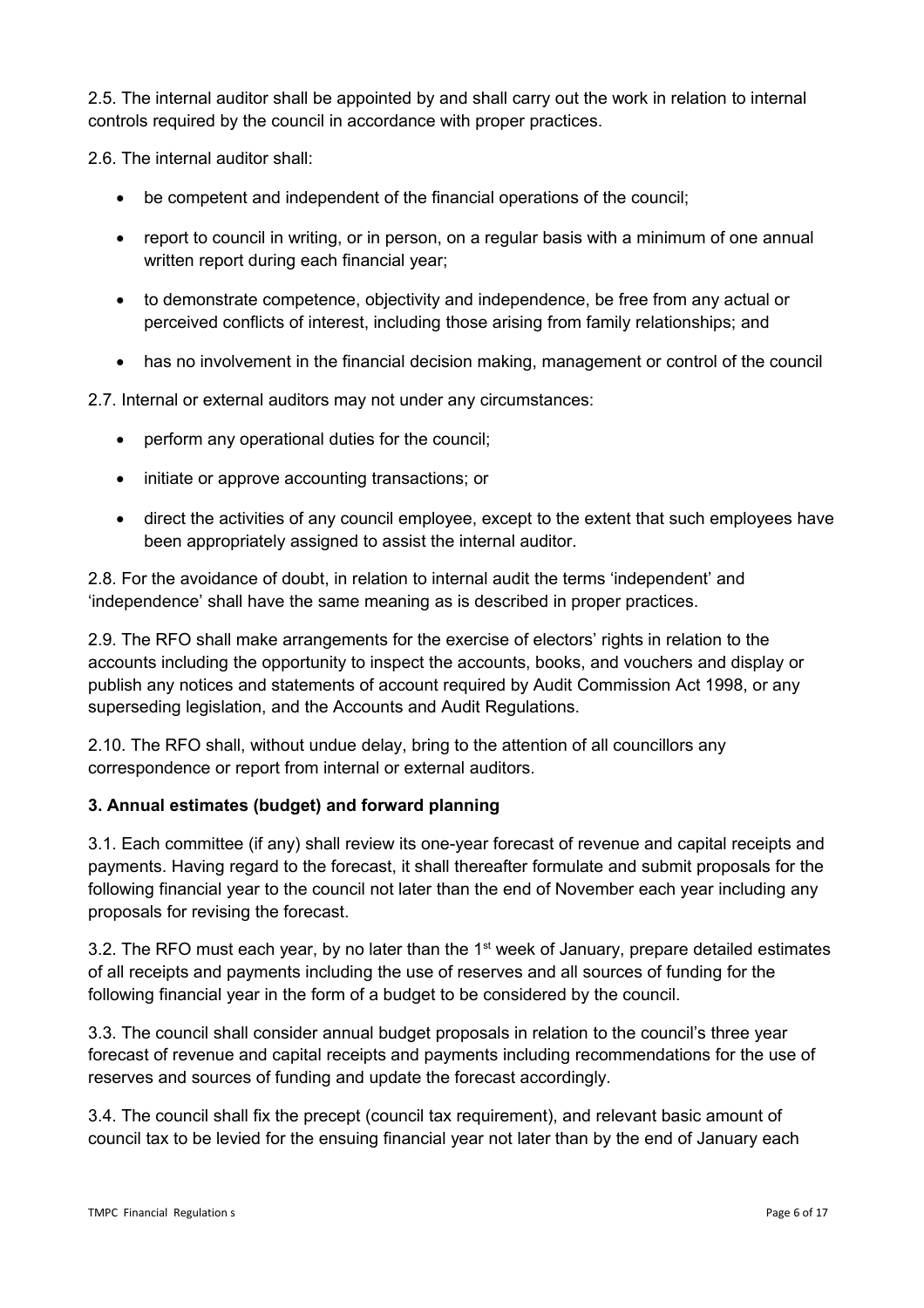2.5. The internal auditor shall be appointed by and shall carry out the work in relation to internal controls required by the council in accordance with proper practices.

2.6. The internal auditor shall:

- be competent and independent of the financial operations of the council;
- report to council in writing, or in person, on a regular basis with a minimum of one annual written report during each financial year;
- to demonstrate competence, objectivity and independence, be free from any actual or perceived conflicts of interest, including those arising from family relationships; and
- has no involvement in the financial decision making, management or control of the council

2.7. Internal or external auditors may not under any circumstances:

- perform any operational duties for the council;
- initiate or approve accounting transactions; or
- direct the activities of any council employee, except to the extent that such employees have been appropriately assigned to assist the internal auditor.

2.8. For the avoidance of doubt, in relation to internal audit the terms 'independent' and 'independence' shall have the same meaning as is described in proper practices.

2.9. The RFO shall make arrangements for the exercise of electors' rights in relation to the accounts including the opportunity to inspect the accounts, books, and vouchers and display or publish any notices and statements of account required by Audit Commission Act 1998, or any superseding legislation, and the Accounts and Audit Regulations.

2.10. The RFO shall, without undue delay, bring to the attention of all councillors any correspondence or report from internal or external auditors.

#### **3. Annual estimates (budget) and forward planning**

3.1. Each committee (if any) shall review its one-year forecast of revenue and capital receipts and payments. Having regard to the forecast, it shall thereafter formulate and submit proposals for the following financial year to the council not later than the end of November each year including any proposals for revising the forecast.

3.2. The RFO must each year, by no later than the  $1<sup>st</sup>$  week of January, prepare detailed estimates of all receipts and payments including the use of reserves and all sources of funding for the following financial year in the form of a budget to be considered by the council.

3.3. The council shall consider annual budget proposals in relation to the council's three year forecast of revenue and capital receipts and payments including recommendations for the use of reserves and sources of funding and update the forecast accordingly.

3.4. The council shall fix the precept (council tax requirement), and relevant basic amount of council tax to be levied for the ensuing financial year not later than by the end of January each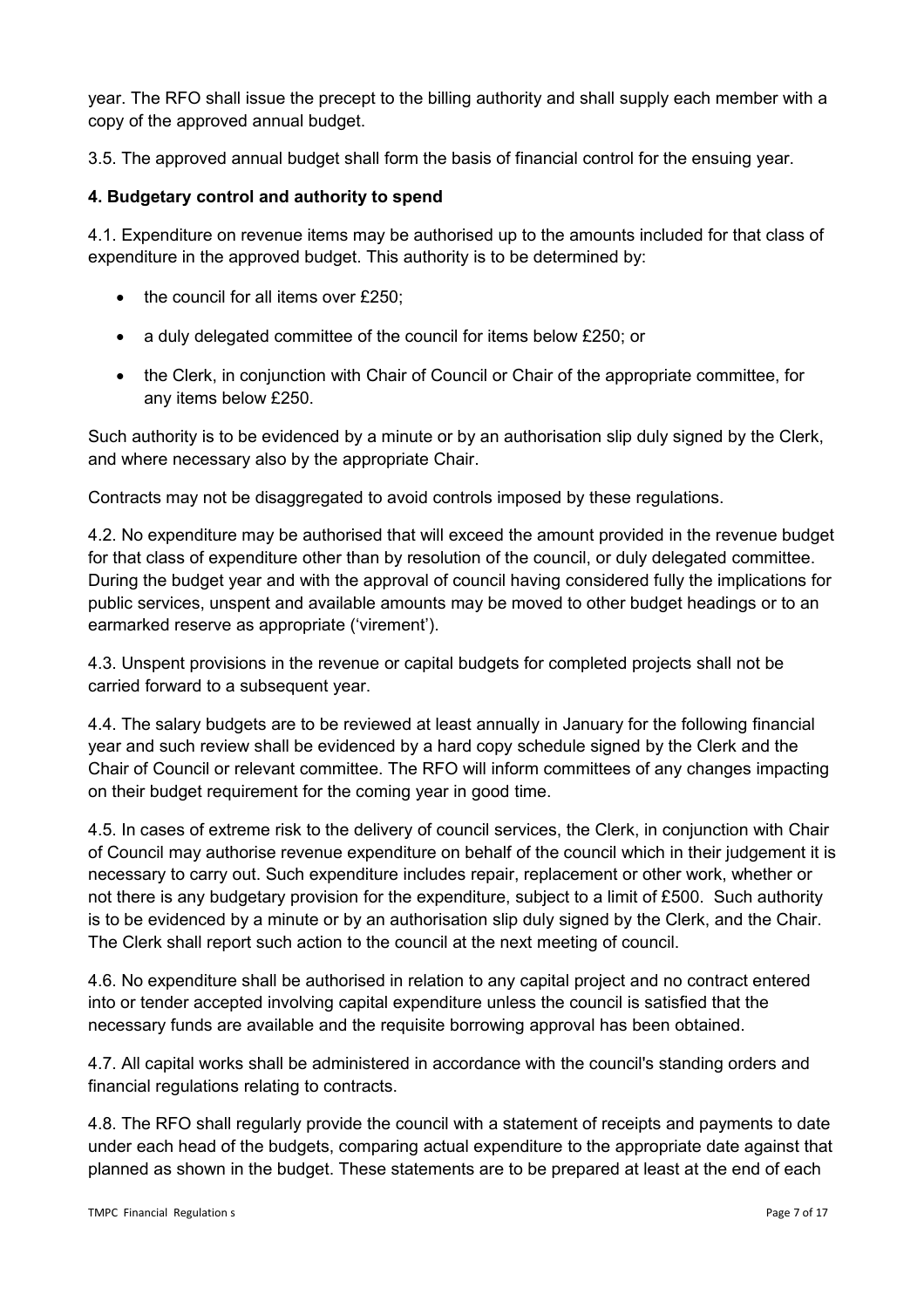year. The RFO shall issue the precept to the billing authority and shall supply each member with a copy of the approved annual budget.

3.5. The approved annual budget shall form the basis of financial control for the ensuing year.

# **4. Budgetary control and authority to spend**

4.1. Expenditure on revenue items may be authorised up to the amounts included for that class of expenditure in the approved budget. This authority is to be determined by:

- $\bullet$  the council for all items over £250;
- a duly delegated committee of the council for items below £250; or
- the Clerk, in conjunction with Chair of Council or Chair of the appropriate committee, for any items below £250.

Such authority is to be evidenced by a minute or by an authorisation slip duly signed by the Clerk, and where necessary also by the appropriate Chair.

Contracts may not be disaggregated to avoid controls imposed by these regulations.

4.2. No expenditure may be authorised that will exceed the amount provided in the revenue budget for that class of expenditure other than by resolution of the council, or duly delegated committee. During the budget year and with the approval of council having considered fully the implications for public services, unspent and available amounts may be moved to other budget headings or to an earmarked reserve as appropriate ('virement').

4.3. Unspent provisions in the revenue or capital budgets for completed projects shall not be carried forward to a subsequent year.

4.4. The salary budgets are to be reviewed at least annually in January for the following financial year and such review shall be evidenced by a hard copy schedule signed by the Clerk and the Chair of Council or relevant committee. The RFO will inform committees of any changes impacting on their budget requirement for the coming year in good time.

4.5. In cases of extreme risk to the delivery of council services, the Clerk, in conjunction with Chair of Council may authorise revenue expenditure on behalf of the council which in their judgement it is necessary to carry out. Such expenditure includes repair, replacement or other work, whether or not there is any budgetary provision for the expenditure, subject to a limit of £500. Such authority is to be evidenced by a minute or by an authorisation slip duly signed by the Clerk, and the Chair. The Clerk shall report such action to the council at the next meeting of council.

4.6. No expenditure shall be authorised in relation to any capital project and no contract entered into or tender accepted involving capital expenditure unless the council is satisfied that the necessary funds are available and the requisite borrowing approval has been obtained.

4.7. All capital works shall be administered in accordance with the council's standing orders and financial regulations relating to contracts.

4.8. The RFO shall regularly provide the council with a statement of receipts and payments to date under each head of the budgets, comparing actual expenditure to the appropriate date against that planned as shown in the budget. These statements are to be prepared at least at the end of each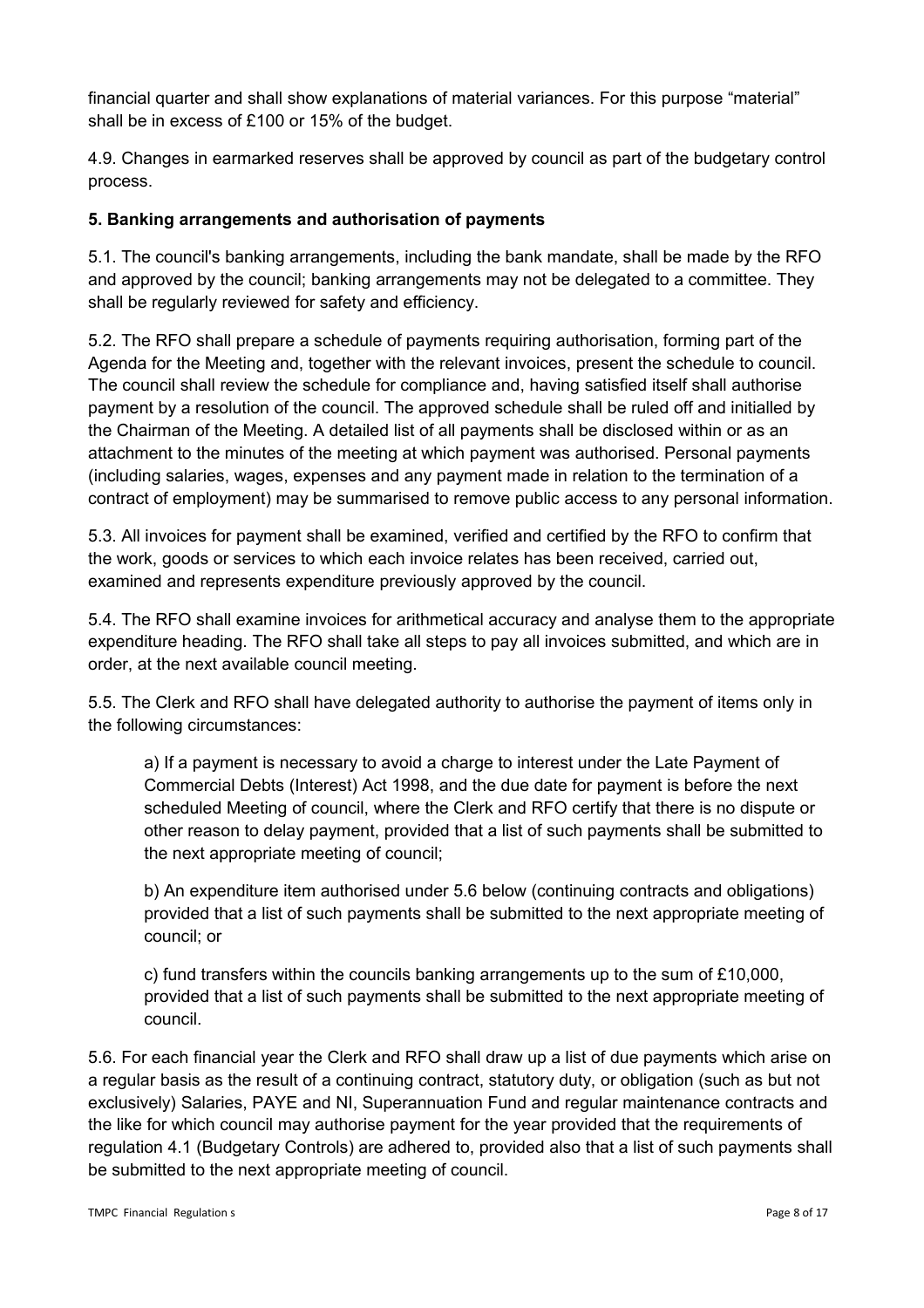financial quarter and shall show explanations of material variances. For this purpose "material" shall be in excess of £100 or 15% of the budget.

4.9. Changes in earmarked reserves shall be approved by council as part of the budgetary control process.

# **5. Banking arrangements and authorisation of payments**

5.1. The council's banking arrangements, including the bank mandate, shall be made by the RFO and approved by the council; banking arrangements may not be delegated to a committee. They shall be regularly reviewed for safety and efficiency.

5.2. The RFO shall prepare a schedule of payments requiring authorisation, forming part of the Agenda for the Meeting and, together with the relevant invoices, present the schedule to council. The council shall review the schedule for compliance and, having satisfied itself shall authorise payment by a resolution of the council. The approved schedule shall be ruled off and initialled by the Chairman of the Meeting. A detailed list of all payments shall be disclosed within or as an attachment to the minutes of the meeting at which payment was authorised. Personal payments (including salaries, wages, expenses and any payment made in relation to the termination of a contract of employment) may be summarised to remove public access to any personal information.

5.3. All invoices for payment shall be examined, verified and certified by the RFO to confirm that the work, goods or services to which each invoice relates has been received, carried out, examined and represents expenditure previously approved by the council.

5.4. The RFO shall examine invoices for arithmetical accuracy and analyse them to the appropriate expenditure heading. The RFO shall take all steps to pay all invoices submitted, and which are in order, at the next available council meeting.

5.5. The Clerk and RFO shall have delegated authority to authorise the payment of items only in the following circumstances:

a) If a payment is necessary to avoid a charge to interest under the Late Payment of Commercial Debts (Interest) Act 1998, and the due date for payment is before the next scheduled Meeting of council, where the Clerk and RFO certify that there is no dispute or other reason to delay payment, provided that a list of such payments shall be submitted to the next appropriate meeting of council;

b) An expenditure item authorised under 5.6 below (continuing contracts and obligations) provided that a list of such payments shall be submitted to the next appropriate meeting of council; or

c) fund transfers within the councils banking arrangements up to the sum of £10,000, provided that a list of such payments shall be submitted to the next appropriate meeting of council.

5.6. For each financial year the Clerk and RFO shall draw up a list of due payments which arise on a regular basis as the result of a continuing contract, statutory duty, or obligation (such as but not exclusively) Salaries, PAYE and NI, Superannuation Fund and regular maintenance contracts and the like for which council may authorise payment for the year provided that the requirements of regulation 4.1 (Budgetary Controls) are adhered to, provided also that a list of such payments shall be submitted to the next appropriate meeting of council.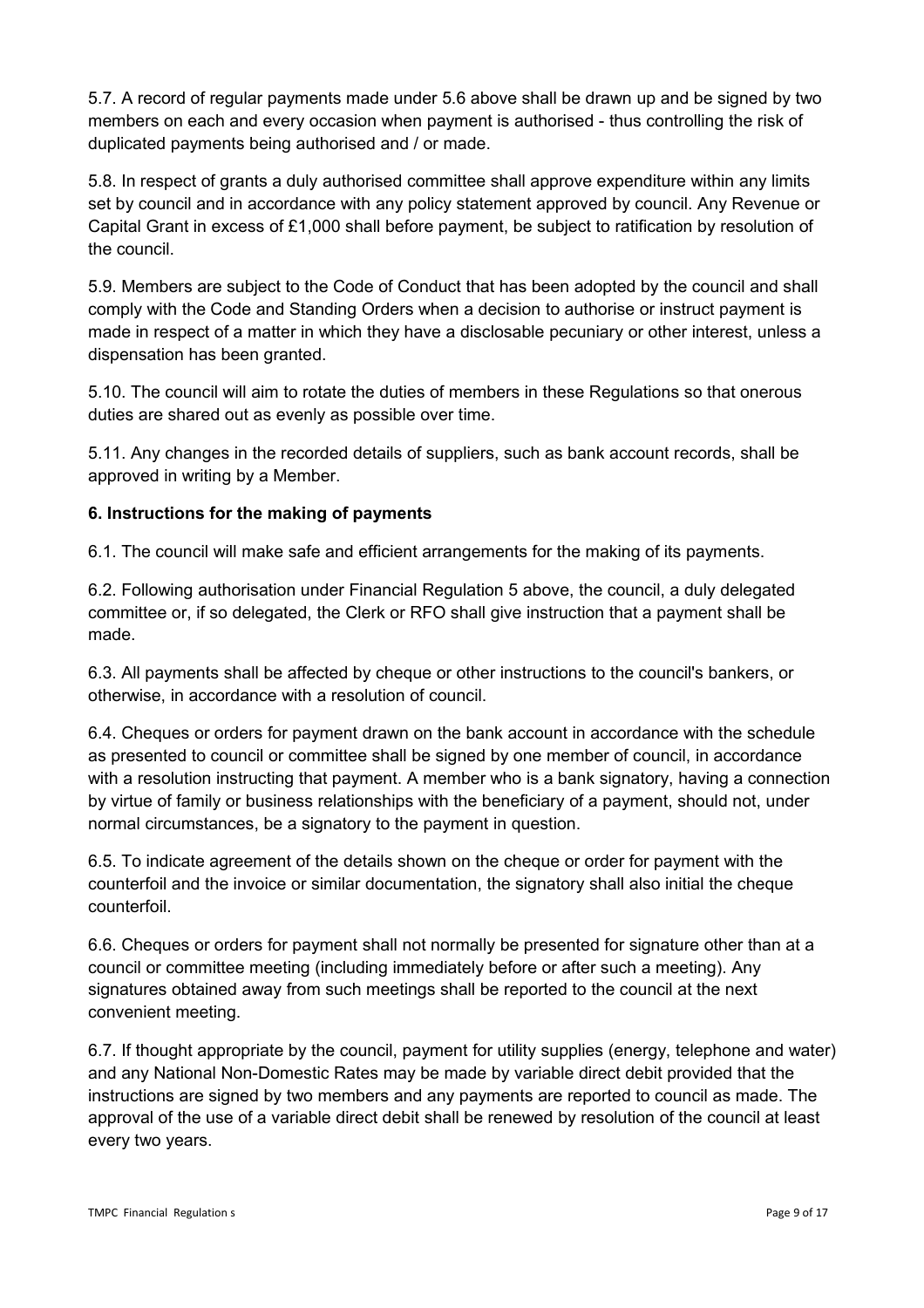5.7. A record of regular payments made under 5.6 above shall be drawn up and be signed by two members on each and every occasion when payment is authorised - thus controlling the risk of duplicated payments being authorised and / or made.

5.8. In respect of grants a duly authorised committee shall approve expenditure within any limits set by council and in accordance with any policy statement approved by council. Any Revenue or Capital Grant in excess of £1,000 shall before payment, be subject to ratification by resolution of the council.

5.9. Members are subject to the Code of Conduct that has been adopted by the council and shall comply with the Code and Standing Orders when a decision to authorise or instruct payment is made in respect of a matter in which they have a disclosable pecuniary or other interest, unless a dispensation has been granted.

5.10. The council will aim to rotate the duties of members in these Regulations so that onerous duties are shared out as evenly as possible over time.

5.11. Any changes in the recorded details of suppliers, such as bank account records, shall be approved in writing by a Member.

# **6. Instructions for the making of payments**

6.1. The council will make safe and efficient arrangements for the making of its payments.

6.2. Following authorisation under Financial Regulation 5 above, the council, a duly delegated committee or, if so delegated, the Clerk or RFO shall give instruction that a payment shall be made.

6.3. All payments shall be affected by cheque or other instructions to the council's bankers, or otherwise, in accordance with a resolution of council.

6.4. Cheques or orders for payment drawn on the bank account in accordance with the schedule as presented to council or committee shall be signed by one member of council, in accordance with a resolution instructing that payment. A member who is a bank signatory, having a connection by virtue of family or business relationships with the beneficiary of a payment, should not, under normal circumstances, be a signatory to the payment in question.

6.5. To indicate agreement of the details shown on the cheque or order for payment with the counterfoil and the invoice or similar documentation, the signatory shall also initial the cheque counterfoil.

6.6. Cheques or orders for payment shall not normally be presented for signature other than at a council or committee meeting (including immediately before or after such a meeting). Any signatures obtained away from such meetings shall be reported to the council at the next convenient meeting.

6.7. If thought appropriate by the council, payment for utility supplies (energy, telephone and water) and any National Non-Domestic Rates may be made by variable direct debit provided that the instructions are signed by two members and any payments are reported to council as made. The approval of the use of a variable direct debit shall be renewed by resolution of the council at least every two years.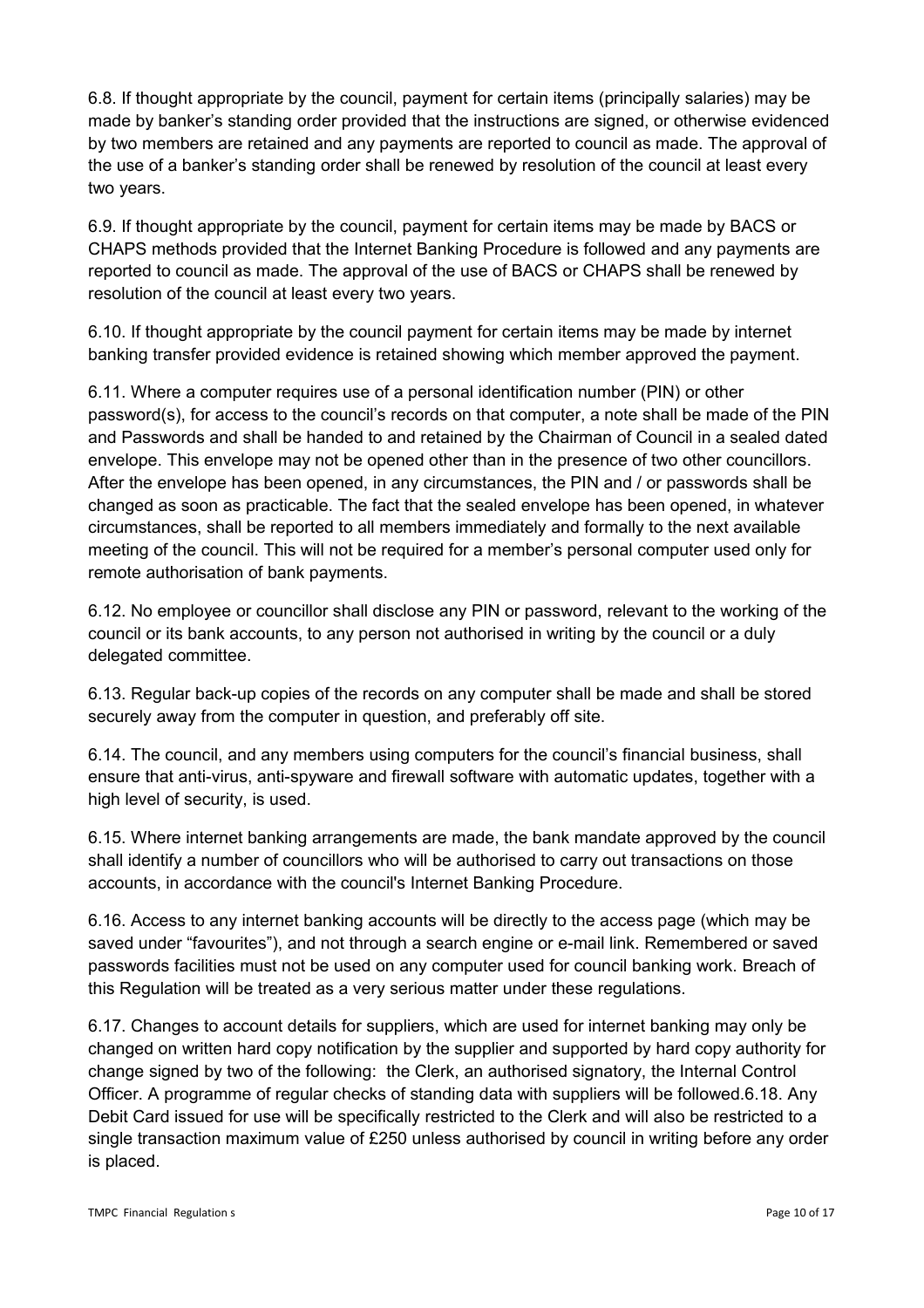6.8. If thought appropriate by the council, payment for certain items (principally salaries) may be made by banker's standing order provided that the instructions are signed, or otherwise evidenced by two members are retained and any payments are reported to council as made. The approval of the use of a banker's standing order shall be renewed by resolution of the council at least every two years.

6.9. If thought appropriate by the council, payment for certain items may be made by BACS or CHAPS methods provided that the Internet Banking Procedure is followed and any payments are reported to council as made. The approval of the use of BACS or CHAPS shall be renewed by resolution of the council at least every two years.

6.10. If thought appropriate by the council payment for certain items may be made by internet banking transfer provided evidence is retained showing which member approved the payment.

6.11. Where a computer requires use of a personal identification number (PIN) or other password(s), for access to the council's records on that computer, a note shall be made of the PIN and Passwords and shall be handed to and retained by the Chairman of Council in a sealed dated envelope. This envelope may not be opened other than in the presence of two other councillors. After the envelope has been opened, in any circumstances, the PIN and / or passwords shall be changed as soon as practicable. The fact that the sealed envelope has been opened, in whatever circumstances, shall be reported to all members immediately and formally to the next available meeting of the council. This will not be required for a member's personal computer used only for remote authorisation of bank payments.

6.12. No employee or councillor shall disclose any PIN or password, relevant to the working of the council or its bank accounts, to any person not authorised in writing by the council or a duly delegated committee.

6.13. Regular back-up copies of the records on any computer shall be made and shall be stored securely away from the computer in question, and preferably off site.

6.14. The council, and any members using computers for the council's financial business, shall ensure that anti-virus, anti-spyware and firewall software with automatic updates, together with a high level of security, is used.

6.15. Where internet banking arrangements are made, the bank mandate approved by the council shall identify a number of councillors who will be authorised to carry out transactions on those accounts, in accordance with the council's Internet Banking Procedure.

6.16. Access to any internet banking accounts will be directly to the access page (which may be saved under "favourites"), and not through a search engine or e-mail link. Remembered or saved passwords facilities must not be used on any computer used for council banking work. Breach of this Regulation will be treated as a very serious matter under these regulations.

6.17. Changes to account details for suppliers, which are used for internet banking may only be changed on written hard copy notification by the supplier and supported by hard copy authority for change signed by two of the following: the Clerk, an authorised signatory, the Internal Control Officer. A programme of regular checks of standing data with suppliers will be followed.6.18. Any Debit Card issued for use will be specifically restricted to the Clerk and will also be restricted to a single transaction maximum value of £250 unless authorised by council in writing before any order is placed.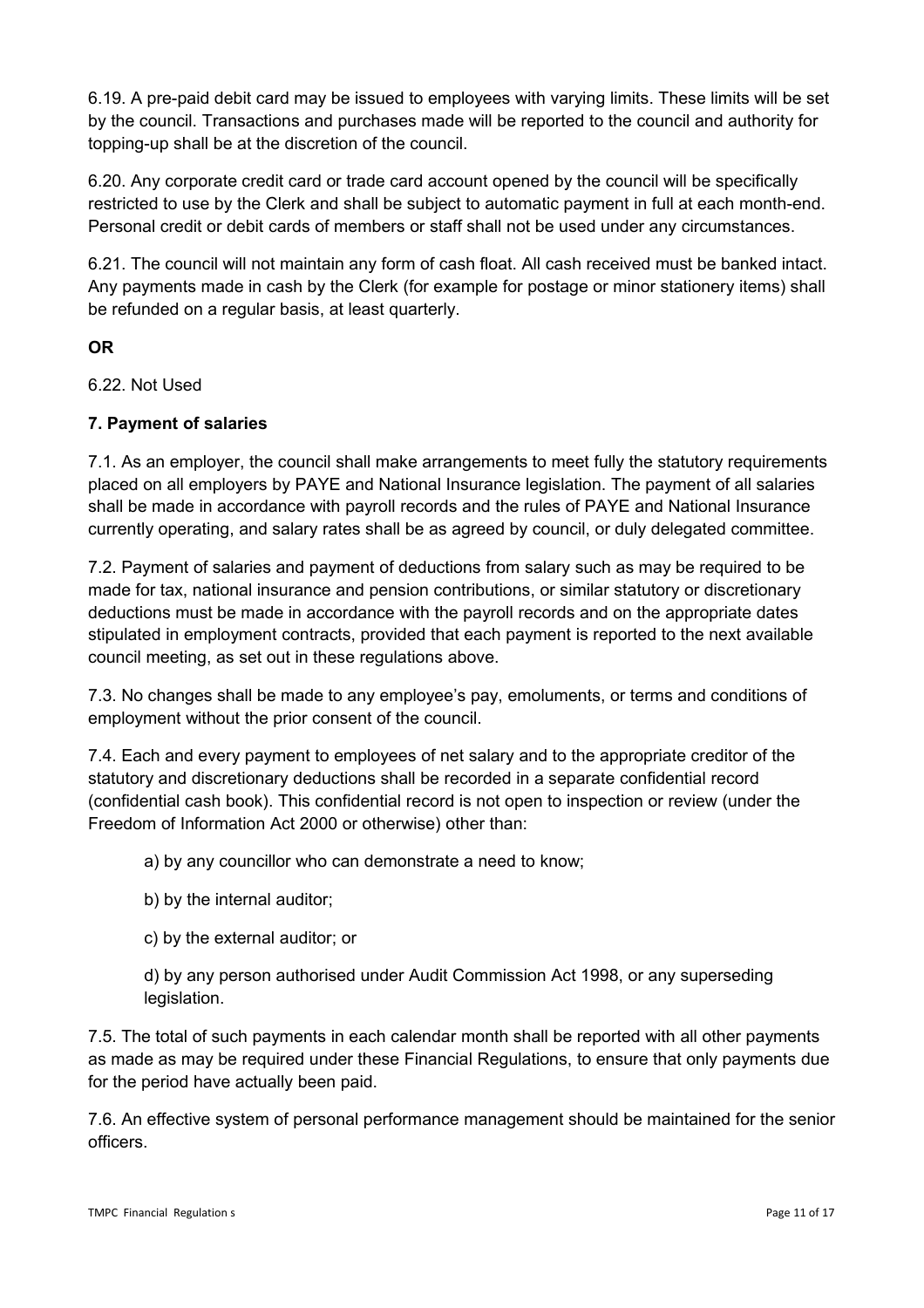6.19. A pre-paid debit card may be issued to employees with varying limits. These limits will be set by the council. Transactions and purchases made will be reported to the council and authority for topping-up shall be at the discretion of the council.

6.20. Any corporate credit card or trade card account opened by the council will be specifically restricted to use by the Clerk and shall be subject to automatic payment in full at each month-end. Personal credit or debit cards of members or staff shall not be used under any circumstances.

6.21. The council will not maintain any form of cash float. All cash received must be banked intact. Any payments made in cash by the Clerk (for example for postage or minor stationery items) shall be refunded on a regular basis, at least quarterly.

# **OR**

6.22. Not Used

# **7. Payment of salaries**

7.1. As an employer, the council shall make arrangements to meet fully the statutory requirements placed on all employers by PAYE and National Insurance legislation. The payment of all salaries shall be made in accordance with payroll records and the rules of PAYE and National Insurance currently operating, and salary rates shall be as agreed by council, or duly delegated committee.

7.2. Payment of salaries and payment of deductions from salary such as may be required to be made for tax, national insurance and pension contributions, or similar statutory or discretionary deductions must be made in accordance with the payroll records and on the appropriate dates stipulated in employment contracts, provided that each payment is reported to the next available council meeting, as set out in these regulations above.

7.3. No changes shall be made to any employee's pay, emoluments, or terms and conditions of employment without the prior consent of the council.

7.4. Each and every payment to employees of net salary and to the appropriate creditor of the statutory and discretionary deductions shall be recorded in a separate confidential record (confidential cash book). This confidential record is not open to inspection or review (under the Freedom of Information Act 2000 or otherwise) other than:

a) by any councillor who can demonstrate a need to know;

- b) by the internal auditor;
- c) by the external auditor; or
- d) by any person authorised under Audit Commission Act 1998, or any superseding legislation.

7.5. The total of such payments in each calendar month shall be reported with all other payments as made as may be required under these Financial Regulations, to ensure that only payments due for the period have actually been paid.

7.6. An effective system of personal performance management should be maintained for the senior officers.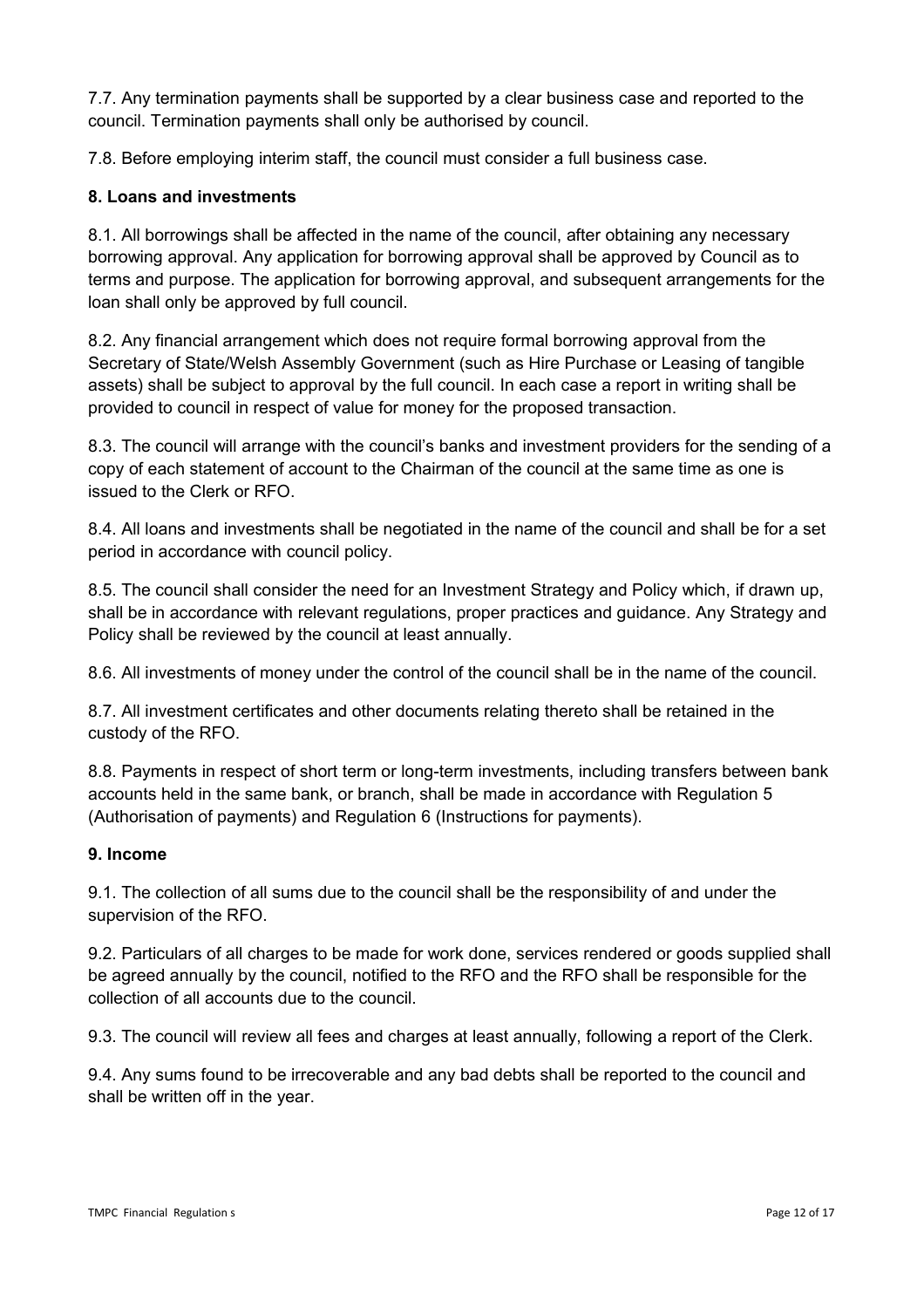7.7. Any termination payments shall be supported by a clear business case and reported to the council. Termination payments shall only be authorised by council.

7.8. Before employing interim staff, the council must consider a full business case.

### **8. Loans and investments**

8.1. All borrowings shall be affected in the name of the council, after obtaining any necessary borrowing approval. Any application for borrowing approval shall be approved by Council as to terms and purpose. The application for borrowing approval, and subsequent arrangements for the loan shall only be approved by full council.

8.2. Any financial arrangement which does not require formal borrowing approval from the Secretary of State/Welsh Assembly Government (such as Hire Purchase or Leasing of tangible assets) shall be subject to approval by the full council. In each case a report in writing shall be provided to council in respect of value for money for the proposed transaction.

8.3. The council will arrange with the council's banks and investment providers for the sending of a copy of each statement of account to the Chairman of the council at the same time as one is issued to the Clerk or RFO.

8.4. All loans and investments shall be negotiated in the name of the council and shall be for a set period in accordance with council policy.

8.5. The council shall consider the need for an Investment Strategy and Policy which, if drawn up, shall be in accordance with relevant regulations, proper practices and guidance. Any Strategy and Policy shall be reviewed by the council at least annually.

8.6. All investments of money under the control of the council shall be in the name of the council.

8.7. All investment certificates and other documents relating thereto shall be retained in the custody of the RFO.

8.8. Payments in respect of short term or long-term investments, including transfers between bank accounts held in the same bank, or branch, shall be made in accordance with Regulation 5 (Authorisation of payments) and Regulation 6 (Instructions for payments).

#### **9. Income**

9.1. The collection of all sums due to the council shall be the responsibility of and under the supervision of the RFO.

9.2. Particulars of all charges to be made for work done, services rendered or goods supplied shall be agreed annually by the council, notified to the RFO and the RFO shall be responsible for the collection of all accounts due to the council.

9.3. The council will review all fees and charges at least annually, following a report of the Clerk.

9.4. Any sums found to be irrecoverable and any bad debts shall be reported to the council and shall be written off in the year.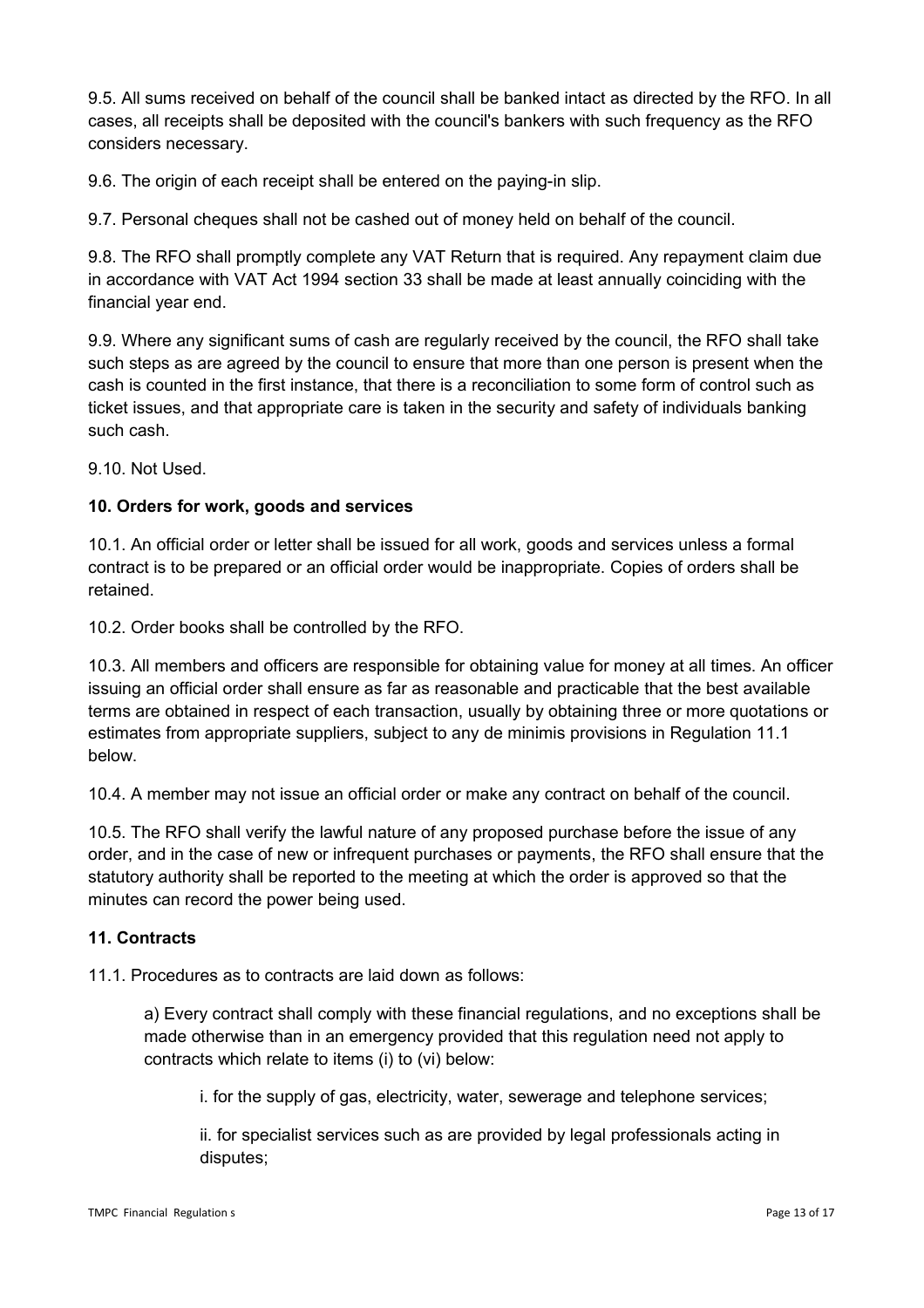9.5. All sums received on behalf of the council shall be banked intact as directed by the RFO. In all cases, all receipts shall be deposited with the council's bankers with such frequency as the RFO considers necessary.

9.6. The origin of each receipt shall be entered on the paying-in slip.

9.7. Personal cheques shall not be cashed out of money held on behalf of the council.

9.8. The RFO shall promptly complete any VAT Return that is required. Any repayment claim due in accordance with VAT Act 1994 section 33 shall be made at least annually coinciding with the financial year end.

9.9. Where any significant sums of cash are regularly received by the council, the RFO shall take such steps as are agreed by the council to ensure that more than one person is present when the cash is counted in the first instance, that there is a reconciliation to some form of control such as ticket issues, and that appropriate care is taken in the security and safety of individuals banking such cash.

9.10. Not Used.

#### **10. Orders for work, goods and services**

10.1. An official order or letter shall be issued for all work, goods and services unless a formal contract is to be prepared or an official order would be inappropriate. Copies of orders shall be retained.

10.2. Order books shall be controlled by the RFO.

10.3. All members and officers are responsible for obtaining value for money at all times. An officer issuing an official order shall ensure as far as reasonable and practicable that the best available terms are obtained in respect of each transaction, usually by obtaining three or more quotations or estimates from appropriate suppliers, subject to any de minimis provisions in Regulation 11.1 below.

10.4. A member may not issue an official order or make any contract on behalf of the council.

10.5. The RFO shall verify the lawful nature of any proposed purchase before the issue of any order, and in the case of new or infrequent purchases or payments, the RFO shall ensure that the statutory authority shall be reported to the meeting at which the order is approved so that the minutes can record the power being used.

#### **11. Contracts**

11.1. Procedures as to contracts are laid down as follows:

a) Every contract shall comply with these financial regulations, and no exceptions shall be made otherwise than in an emergency provided that this regulation need not apply to contracts which relate to items (i) to (vi) below:

i. for the supply of gas, electricity, water, sewerage and telephone services;

ii. for specialist services such as are provided by legal professionals acting in disputes;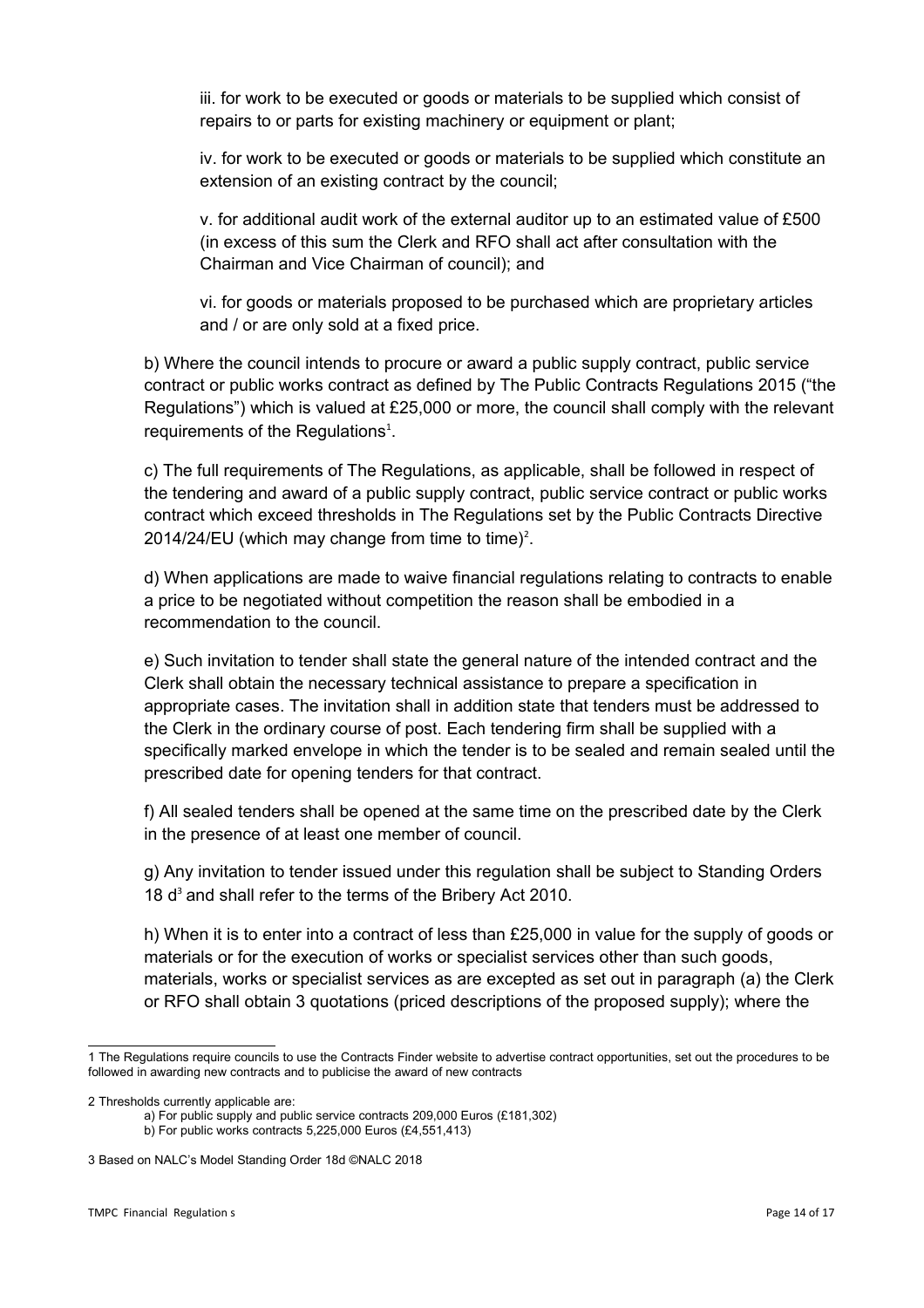iii. for work to be executed or goods or materials to be supplied which consist of repairs to or parts for existing machinery or equipment or plant;

iv. for work to be executed or goods or materials to be supplied which constitute an extension of an existing contract by the council;

v. for additional audit work of the external auditor up to an estimated value of £500 (in excess of this sum the Clerk and RFO shall act after consultation with the Chairman and Vice Chairman of council); and

vi. for goods or materials proposed to be purchased which are proprietary articles and / or are only sold at a fixed price.

b) Where the council intends to procure or award a public supply contract, public service contract or public works contract as defined by The Public Contracts Regulations 2015 ("the Regulations") which is valued at £25,000 or more, the council shall comply with the relevant requirements of the Regulations $<sup>1</sup>$  $<sup>1</sup>$  $<sup>1</sup>$ .</sup>

c) The full requirements of The Regulations, as applicable, shall be followed in respect of the tendering and award of a public supply contract, public service contract or public works contract which exceed thresholds in The Regulations set by the Public Contracts Directive [2](#page-13-1)014/24/EU (which may change from time to time)<sup>2</sup>.

d) When applications are made to waive financial regulations relating to contracts to enable a price to be negotiated without competition the reason shall be embodied in a recommendation to the council.

e) Such invitation to tender shall state the general nature of the intended contract and the Clerk shall obtain the necessary technical assistance to prepare a specification in appropriate cases. The invitation shall in addition state that tenders must be addressed to the Clerk in the ordinary course of post. Each tendering firm shall be supplied with a specifically marked envelope in which the tender is to be sealed and remain sealed until the prescribed date for opening tenders for that contract.

f) All sealed tenders shall be opened at the same time on the prescribed date by the Clerk in the presence of at least one member of council.

g) Any invitation to tender issued under this regulation shall be subject to Standing Orders 18 d<sup>[3](#page-13-2)</sup> and shall refer to the terms of the Bribery Act 2010.

h) When it is to enter into a contract of less than £25,000 in value for the supply of goods or materials or for the execution of works or specialist services other than such goods, materials, works or specialist services as are excepted as set out in paragraph (a) the Clerk or RFO shall obtain 3 quotations (priced descriptions of the proposed supply); where the

<span id="page-13-0"></span><sup>1</sup> The Regulations require councils to use the Contracts Finder website to advertise contract opportunities, set out the procedures to be followed in awarding new contracts and to publicise the award of new contracts

<span id="page-13-1"></span><sup>2</sup> Thresholds currently applicable are:

a) For public supply and public service contracts 209,000 Euros (£181,302) b) For public works contracts 5,225,000 Euros (£4,551,413)

<span id="page-13-2"></span><sup>3</sup> Based on NALC's Model Standing Order 18d ©NALC 2018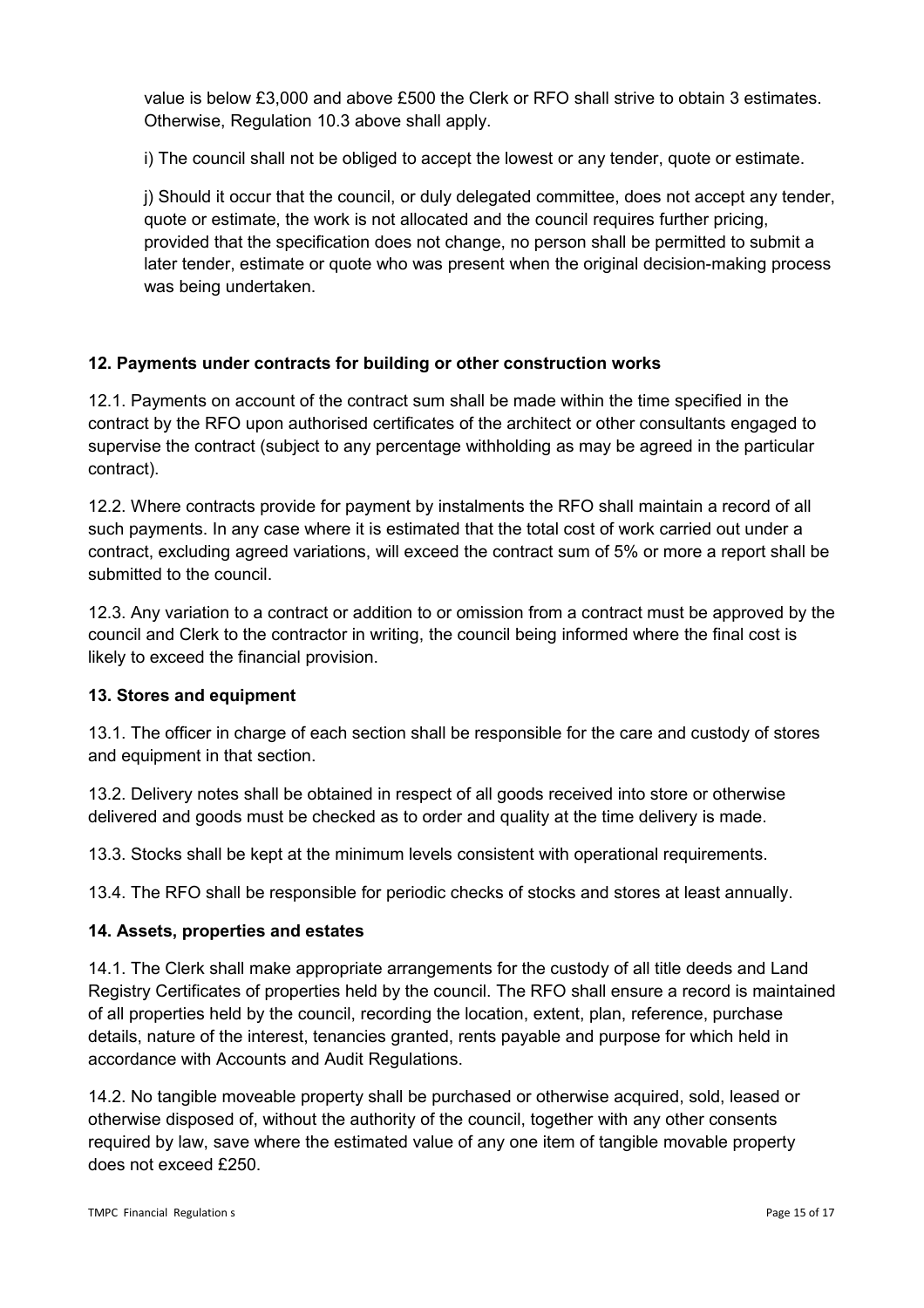value is below £3,000 and above £500 the Clerk or RFO shall strive to obtain 3 estimates. Otherwise, Regulation 10.3 above shall apply.

i) The council shall not be obliged to accept the lowest or any tender, quote or estimate.

j) Should it occur that the council, or duly delegated committee, does not accept any tender, quote or estimate, the work is not allocated and the council requires further pricing, provided that the specification does not change, no person shall be permitted to submit a later tender, estimate or quote who was present when the original decision-making process was being undertaken.

# **12. Payments under contracts for building or other construction works**

12.1. Payments on account of the contract sum shall be made within the time specified in the contract by the RFO upon authorised certificates of the architect or other consultants engaged to supervise the contract (subject to any percentage withholding as may be agreed in the particular contract).

12.2. Where contracts provide for payment by instalments the RFO shall maintain a record of all such payments. In any case where it is estimated that the total cost of work carried out under a contract, excluding agreed variations, will exceed the contract sum of 5% or more a report shall be submitted to the council.

12.3. Any variation to a contract or addition to or omission from a contract must be approved by the council and Clerk to the contractor in writing, the council being informed where the final cost is likely to exceed the financial provision.

#### **13. Stores and equipment**

13.1. The officer in charge of each section shall be responsible for the care and custody of stores and equipment in that section.

13.2. Delivery notes shall be obtained in respect of all goods received into store or otherwise delivered and goods must be checked as to order and quality at the time delivery is made.

13.3. Stocks shall be kept at the minimum levels consistent with operational requirements.

13.4. The RFO shall be responsible for periodic checks of stocks and stores at least annually.

#### **14. Assets, properties and estates**

14.1. The Clerk shall make appropriate arrangements for the custody of all title deeds and Land Registry Certificates of properties held by the council. The RFO shall ensure a record is maintained of all properties held by the council, recording the location, extent, plan, reference, purchase details, nature of the interest, tenancies granted, rents payable and purpose for which held in accordance with Accounts and Audit Regulations.

14.2. No tangible moveable property shall be purchased or otherwise acquired, sold, leased or otherwise disposed of, without the authority of the council, together with any other consents required by law, save where the estimated value of any one item of tangible movable property does not exceed £250.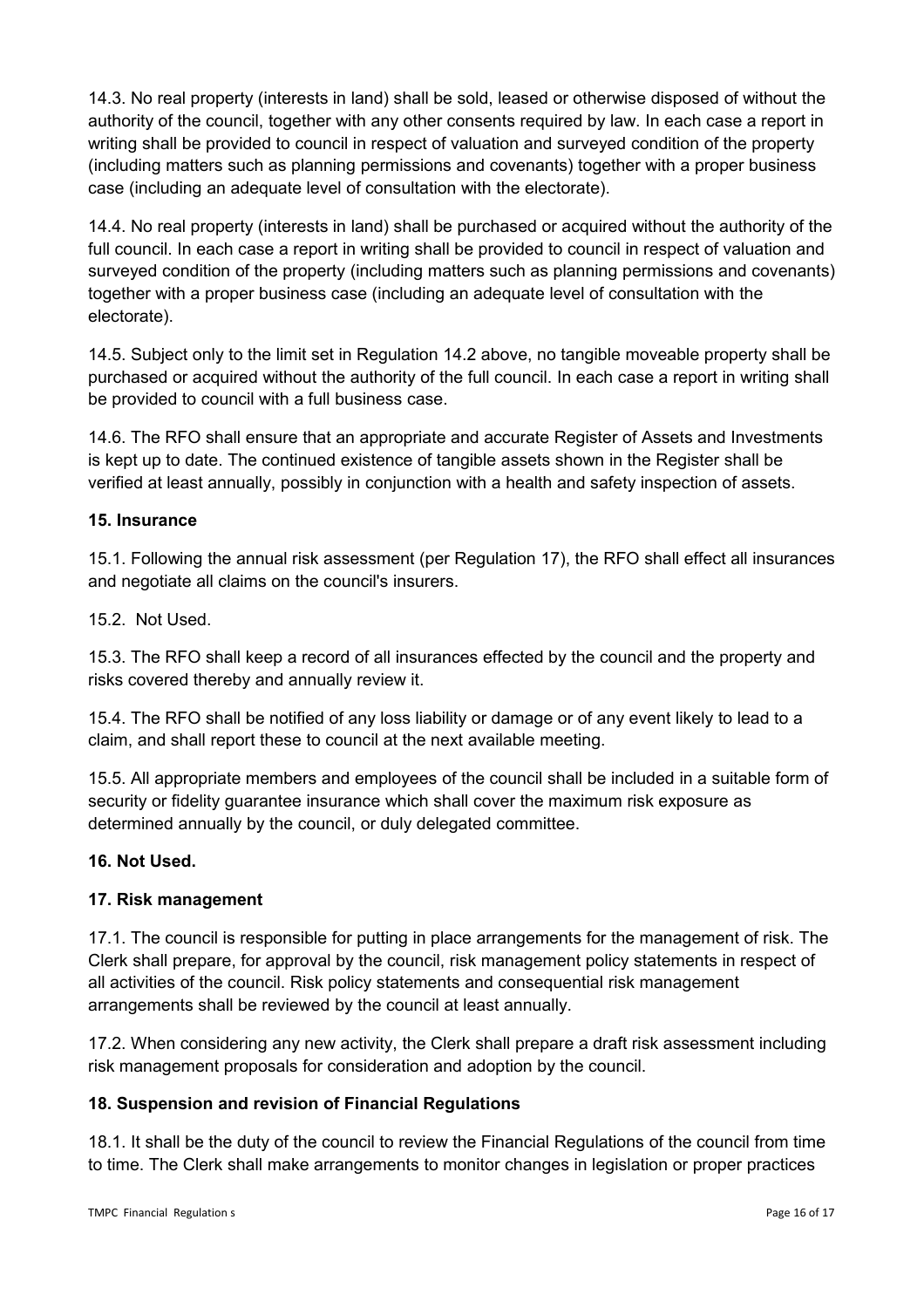14.3. No real property (interests in land) shall be sold, leased or otherwise disposed of without the authority of the council, together with any other consents required by law. In each case a report in writing shall be provided to council in respect of valuation and surveyed condition of the property (including matters such as planning permissions and covenants) together with a proper business case (including an adequate level of consultation with the electorate).

14.4. No real property (interests in land) shall be purchased or acquired without the authority of the full council. In each case a report in writing shall be provided to council in respect of valuation and surveyed condition of the property (including matters such as planning permissions and covenants) together with a proper business case (including an adequate level of consultation with the electorate).

14.5. Subject only to the limit set in Regulation 14.2 above, no tangible moveable property shall be purchased or acquired without the authority of the full council. In each case a report in writing shall be provided to council with a full business case.

14.6. The RFO shall ensure that an appropriate and accurate Register of Assets and Investments is kept up to date. The continued existence of tangible assets shown in the Register shall be verified at least annually, possibly in conjunction with a health and safety inspection of assets.

#### **15. Insurance**

15.1. Following the annual risk assessment (per Regulation 17), the RFO shall effect all insurances and negotiate all claims on the council's insurers.

15.2. Not Used.

15.3. The RFO shall keep a record of all insurances effected by the council and the property and risks covered thereby and annually review it.

15.4. The RFO shall be notified of any loss liability or damage or of any event likely to lead to a claim, and shall report these to council at the next available meeting.

15.5. All appropriate members and employees of the council shall be included in a suitable form of security or fidelity guarantee insurance which shall cover the maximum risk exposure as determined annually by the council, or duly delegated committee.

#### **16. Not Used.**

#### **17. Risk management**

17.1. The council is responsible for putting in place arrangements for the management of risk. The Clerk shall prepare, for approval by the council, risk management policy statements in respect of all activities of the council. Risk policy statements and consequential risk management arrangements shall be reviewed by the council at least annually.

17.2. When considering any new activity, the Clerk shall prepare a draft risk assessment including risk management proposals for consideration and adoption by the council.

#### **18. Suspension and revision of Financial Regulations**

18.1. It shall be the duty of the council to review the Financial Regulations of the council from time to time. The Clerk shall make arrangements to monitor changes in legislation or proper practices